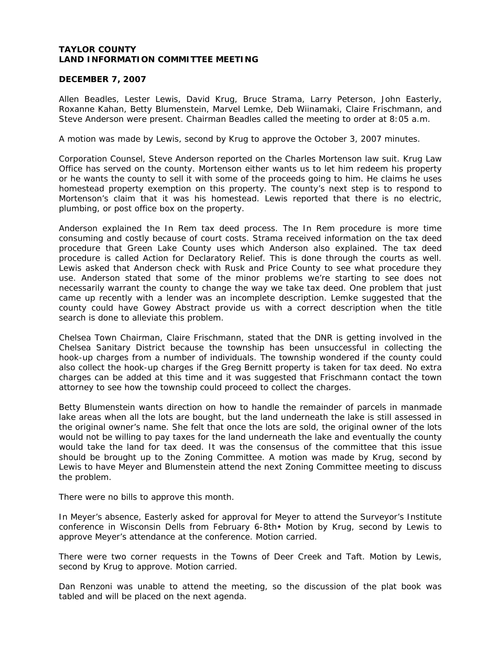# **TAYLOR COUNTY LAND INFORMATION COMMITTEE MEETING**

#### **DECEMBER 7, 2007**

Allen Beadles, Lester Lewis, David Krug, Bruce Strama, Larry Peterson, John Easterly, Roxanne Kahan, Betty Blumenstein, Marvel Lemke, Deb Wiinamaki, Claire Frischmann, and Steve Anderson were present. Chairman Beadles called the meeting to order at 8:05 a.m.

A motion was made by Lewis, second by Krug to approve the October 3, 2007 minutes.

Corporation Counsel, Steve Anderson reported on the Charles Mortenson law suit. Krug Law Office has served on the county. Mortenson either wants us to let him redeem his property or he wants the county to sell it with some of the proceeds going to him. He claims he uses homestead property exemption on this property. The county's next step is to respond to Mortenson's claim that it was his homestead. Lewis reported that there is no electric, plumbing, or post office box on the property.

Anderson explained the In Rem tax deed process. The In Rem procedure is more time consuming and costly because of court costs. Strama received information on the tax deed procedure that Green Lake County uses which Anderson also explained. The tax deed procedure is called Action for Declaratory Relief. This is done through the courts as well. Lewis asked that Anderson check with Rusk and Price County to see what procedure they use. Anderson stated that some of the minor problems we're starting to see does not necessarily warrant the county to change the way we take tax deed. One problem that just came up recently with a lender was an incomplete description. Lemke suggested that the county could have Gowey Abstract provide us with a correct description when the title search is done to alleviate this problem.

Chelsea Town Chairman, Claire Frischmann, stated that the DNR is getting involved in the Chelsea Sanitary District because the township has been unsuccessful in collecting the hook-up charges from a number of individuals. The township wondered if the county could also collect the hook-up charges if the Greg Bernitt property is taken for tax deed. No extra charges can be added at this time and it was suggested that Frischmann contact the town attorney to see how the township could proceed to collect the charges.

Betty Blumenstein wants direction on how to handle the remainder of parcels in manmade lake areas when all the lots are bought, but the land underneath the lake is still assessed in the original owner's name. She felt that once the lots are sold, the original owner of the lots would not be willing to pay taxes for the land underneath the lake and eventually the county would take the land for tax deed. It was the consensus of the committee that this issue should be brought up to the Zoning Committee. A motion was made by Krug, second by Lewis to have Meyer and Blumenstein attend the next Zoning Committee meeting to discuss the problem.

There were no bills to approve this month.

In Meyer's absence, Easterly asked for approval for Meyer to attend the Surveyor's Institute conference in Wisconsin Dells from February 6-8th• Motion by Krug, second by Lewis to approve Meyer's attendance at the conference. Motion carried.

There were two corner requests in the Towns of Deer Creek and Taft. Motion by Lewis, second by Krug to approve. Motion carried.

Dan Renzoni was unable to attend the meeting, so the discussion of the plat book was tabled and will be placed on the next agenda.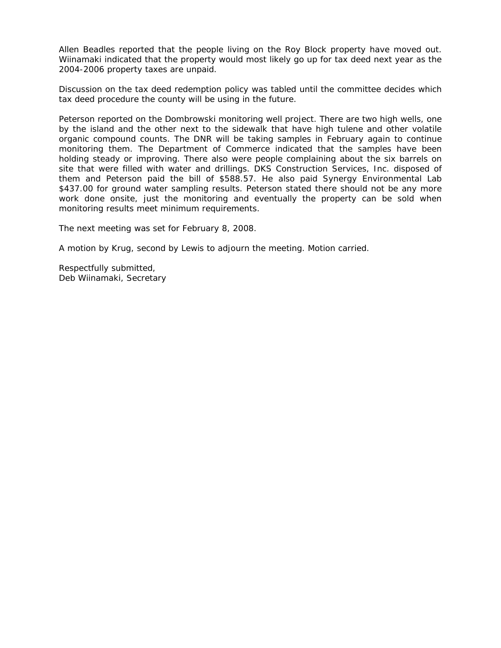Allen Beadles reported that the people living on the Roy Block property have moved out. Wiinamaki indicated that the property would most likely go up for tax deed next year as the 2004-2006 property taxes are unpaid.

Discussion on the tax deed redemption policy was tabled until the committee decides which tax deed procedure the county will be using in the future.

Peterson reported on the Dombrowski monitoring well project. There are two high wells, one by the island and the other next to the sidewalk that have high tulene and other volatile organic compound counts. The DNR will be taking samples in February again to continue monitoring them. The Department of Commerce indicated that the samples have been holding steady or improving. There also were people complaining about the six barrels on site that were filled with water and drillings. DKS Construction Services, Inc. disposed of them and Peterson paid the bill of \$588.57. He also paid Synergy Environmental Lab \$437.00 for ground water sampling results. Peterson stated there should not be any more work done onsite, just the monitoring and eventually the property can be sold when monitoring results meet minimum requirements.

The next meeting was set for February 8, 2008.

A motion by Krug, second by Lewis to adjourn the meeting. Motion carried.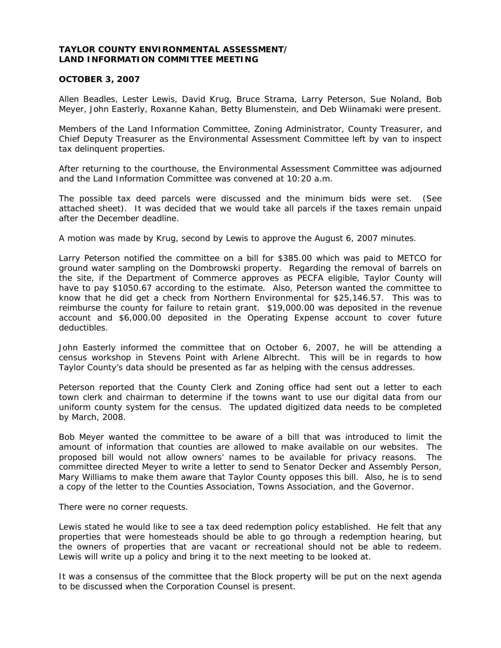## **TAYLOR COUNTY ENVIRONMENTAL ASSESSMENT/ LAND INFORMATION COMMITTEE MEETING**

### **OCTOBER 3, 2007**

Allen Beadles, Lester Lewis, David Krug, Bruce Strama, Larry Peterson, Sue Noland, Bob Meyer, John Easterly, Roxanne Kahan, Betty Blumenstein, and Deb Wiinamaki were present.

Members of the Land Information Committee, Zoning Administrator, County Treasurer, and Chief Deputy Treasurer as the Environmental Assessment Committee left by van to inspect tax delinquent properties.

After returning to the courthouse, the Environmental Assessment Committee was adjourned and the Land Information Committee was convened at 10:20 a.m.

The possible tax deed parcels were discussed and the minimum bids were set. (See attached sheet). It was decided that we would take all parcels if the taxes remain unpaid after the December deadline.

A motion was made by Krug, second by Lewis to approve the August 6, 2007 minutes.

Larry Peterson notified the committee on a bill for \$385.00 which was paid to METCO for ground water sampling on the Dombrowski property. Regarding the removal of barrels on the site, if the Department of Commerce approves as PECFA eligible, Taylor County will have to pay \$1050.67 according to the estimate. Also, Peterson wanted the committee to know that he did get a check from Northern Environmental for \$25,146.57. This was to reimburse the county for failure to retain grant. \$19,000.00 was deposited in the revenue account and \$6,000.00 deposited in the Operating Expense account to cover future deductibles.

John Easterly informed the committee that on October 6, 2007, he will be attending a census workshop in Stevens Point with Arlene Albrecht. This will be in regards to how Taylor County's data should be presented as far as helping with the census addresses.

Peterson reported that the County Clerk and Zoning office had sent out a letter to each town clerk and chairman to determine if the towns want to use our digital data from our uniform county system for the census. The updated digitized data needs to be completed by March, 2008.

Bob Meyer wanted the committee to be aware of a bill that was introduced to limit the amount of information that counties are allowed to make available on our websites. The proposed bill would not allow owners' names to be available for privacy reasons. The committee directed Meyer to write a letter to send to Senator Decker and Assembly Person, Mary Williams to make them aware that Taylor County opposes this bill. Also, he is to send a copy of the letter to the Counties Association, Towns Association, and the Governor.

There were no corner requests.

Lewis stated he would like to see a tax deed redemption policy established. He felt that any properties that were homesteads should be able to go through a redemption hearing, but the owners of properties that are vacant or recreational should not be able to redeem. Lewis will write up a policy and bring it to the next meeting to be looked at.

It was a consensus of the committee that the Block property will be put on the next agenda to be discussed when the Corporation Counsel is present.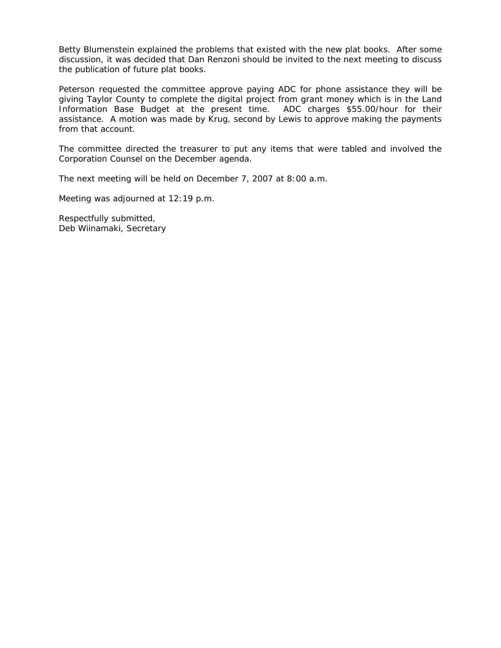Betty Blumenstein explained the problems that existed with the new plat books. After some discussion, it was decided that Dan Renzoni should be invited to the next meeting to discuss the publication of future plat books.

Peterson requested the committee approve paying ADC for phone assistance they will be giving Taylor County to complete the digital project from grant money which is in the Land Information Base Budget at the present time. ADC charges \$55.00/hour for their assistance. A motion was made by Krug, second by Lewis to approve making the payments from that account.

The committee directed the treasurer to put any items that were tabled and involved the Corporation Counsel on the December agenda.

The next meeting will be held on December 7, 2007 at 8:00 a.m.

Meeting was adjourned at 12:19 p.m.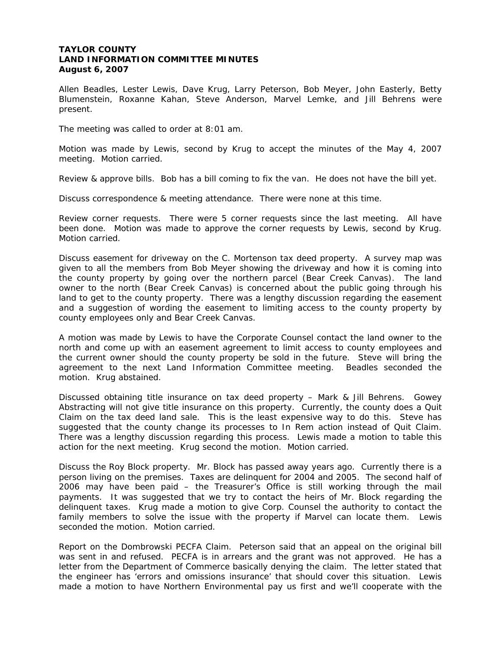## **TAYLOR COUNTY LAND INFORMATION COMMITTEE MINUTES August 6, 2007**

Allen Beadles, Lester Lewis, Dave Krug, Larry Peterson, Bob Meyer, John Easterly, Betty Blumenstein, Roxanne Kahan, Steve Anderson, Marvel Lemke, and Jill Behrens were present.

The meeting was called to order at 8:01 am.

Motion was made by Lewis, second by Krug to accept the minutes of the May 4, 2007 meeting. Motion carried.

Review & approve bills. Bob has a bill coming to fix the van. He does not have the bill yet.

Discuss correspondence & meeting attendance. There were none at this time.

Review corner requests. There were 5 corner requests since the last meeting. All have been done. Motion was made to approve the corner requests by Lewis, second by Krug. Motion carried.

Discuss easement for driveway on the C. Mortenson tax deed property. A survey map was given to all the members from Bob Meyer showing the driveway and how it is coming into the county property by going over the northern parcel (Bear Creek Canvas). The land owner to the north (Bear Creek Canvas) is concerned about the public going through his land to get to the county property. There was a lengthy discussion regarding the easement and a suggestion of wording the easement to limiting access to the county property by county employees only and Bear Creek Canvas.

A motion was made by Lewis to have the Corporate Counsel contact the land owner to the north and come up with an easement agreement to limit access to county employees and the current owner should the county property be sold in the future. Steve will bring the agreement to the next Land Information Committee meeting. Beadles seconded the motion. Krug abstained.

Discussed obtaining title insurance on tax deed property – Mark & Jill Behrens. Gowey Abstracting will not give title insurance on this property. Currently, the county does a Quit Claim on the tax deed land sale. This is the least expensive way to do this. Steve has suggested that the county change its processes to In Rem action instead of Quit Claim. There was a lengthy discussion regarding this process. Lewis made a motion to table this action for the next meeting. Krug second the motion. Motion carried.

Discuss the Roy Block property. Mr. Block has passed away years ago. Currently there is a person living on the premises. Taxes are delinquent for 2004 and 2005. The second half of 2006 may have been paid – the Treasurer's Office is still working through the mail payments. It was suggested that we try to contact the heirs of Mr. Block regarding the delinquent taxes. Krug made a motion to give Corp. Counsel the authority to contact the family members to solve the issue with the property if Marvel can locate them. Lewis seconded the motion. Motion carried.

Report on the Dombrowski PECFA Claim. Peterson said that an appeal on the original bill was sent in and refused. PECFA is in arrears and the grant was not approved. He has a letter from the Department of Commerce basically denying the claim. The letter stated that the engineer has 'errors and omissions insurance' that should cover this situation. Lewis made a motion to have Northern Environmental pay us first and we'll cooperate with the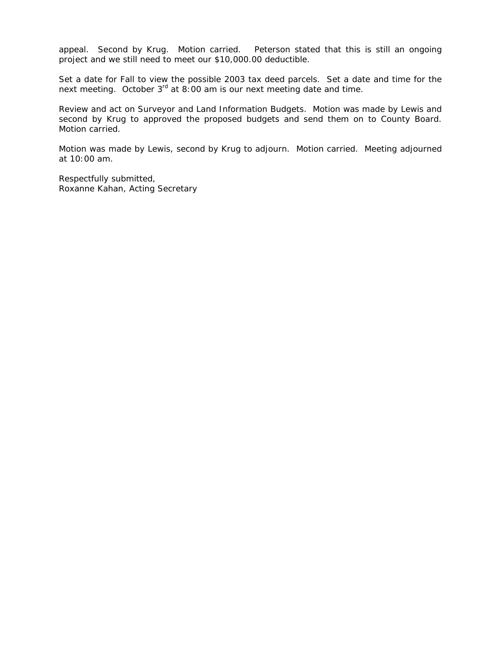appeal. Second by Krug. Motion carried. Peterson stated that this is still an ongoing project and we still need to meet our \$10,000.00 deductible.

Set a date for Fall to view the possible 2003 tax deed parcels. Set a date and time for the next meeting. October 3<sup>rd</sup> at 8:00 am is our next meeting date and time.

Review and act on Surveyor and Land Information Budgets. Motion was made by Lewis and second by Krug to approved the proposed budgets and send them on to County Board. Motion carried.

Motion was made by Lewis, second by Krug to adjourn. Motion carried. Meeting adjourned at 10:00 am.

Respectfully submitted, Roxanne Kahan, Acting Secretary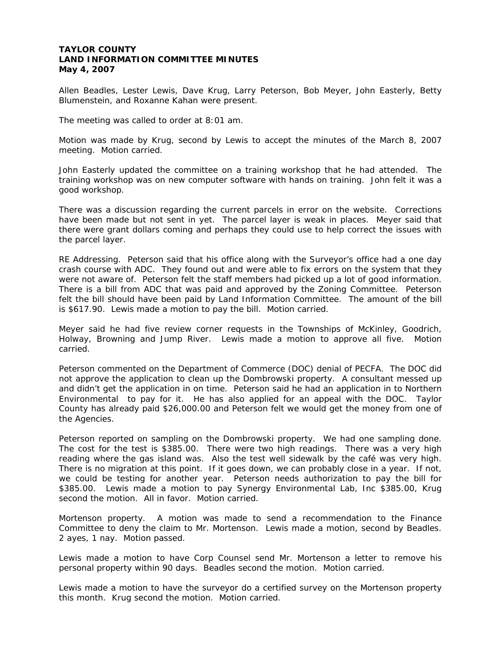## **TAYLOR COUNTY LAND INFORMATION COMMITTEE MINUTES May 4, 2007**

Allen Beadles, Lester Lewis, Dave Krug, Larry Peterson, Bob Meyer, John Easterly, Betty Blumenstein, and Roxanne Kahan were present.

The meeting was called to order at 8:01 am.

Motion was made by Krug, second by Lewis to accept the minutes of the March 8, 2007 meeting. Motion carried.

John Easterly updated the committee on a training workshop that he had attended. The training workshop was on new computer software with hands on training. John felt it was a good workshop.

There was a discussion regarding the current parcels in error on the website. Corrections have been made but not sent in yet. The parcel layer is weak in places. Meyer said that there were grant dollars coming and perhaps they could use to help correct the issues with the parcel layer.

RE Addressing. Peterson said that his office along with the Surveyor's office had a one day crash course with ADC. They found out and were able to fix errors on the system that they were not aware of. Peterson felt the staff members had picked up a lot of good information. There is a bill from ADC that was paid and approved by the Zoning Committee. Peterson felt the bill should have been paid by Land Information Committee. The amount of the bill is \$617.90. Lewis made a motion to pay the bill. Motion carried.

Meyer said he had five review corner requests in the Townships of McKinley, Goodrich, Holway, Browning and Jump River. Lewis made a motion to approve all five. Motion carried.

Peterson commented on the Department of Commerce (DOC) denial of PECFA. The DOC did not approve the application to clean up the Dombrowski property. A consultant messed up and didn't get the application in on time. Peterson said he had an application in to Northern Environmental to pay for it. He has also applied for an appeal with the DOC. Taylor County has already paid \$26,000.00 and Peterson felt we would get the money from one of the Agencies.

Peterson reported on sampling on the Dombrowski property. We had one sampling done. The cost for the test is \$385.00. There were two high readings. There was a very high reading where the gas island was. Also the test well sidewalk by the café was very high. There is no migration at this point. If it goes down, we can probably close in a year. If not, we could be testing for another year. Peterson needs authorization to pay the bill for \$385.00. Lewis made a motion to pay Synergy Environmental Lab, Inc \$385.00, Krug second the motion. All in favor. Motion carried.

Mortenson property. A motion was made to send a recommendation to the Finance Committee to deny the claim to Mr. Mortenson. Lewis made a motion, second by Beadles. 2 ayes, 1 nay. Motion passed.

Lewis made a motion to have Corp Counsel send Mr. Mortenson a letter to remove his personal property within 90 days. Beadles second the motion. Motion carried.

Lewis made a motion to have the surveyor do a certified survey on the Mortenson property this month. Krug second the motion. Motion carried.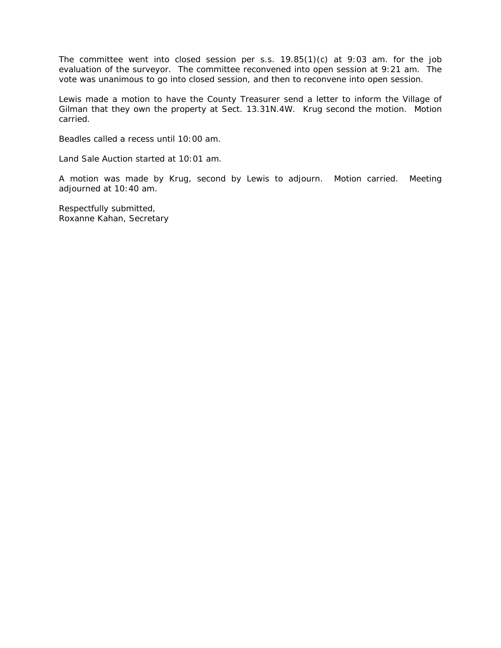The committee went into closed session per s.s. 19.85(1)(c) at 9:03 am. for the job evaluation of the surveyor. The committee reconvened into open session at 9:21 am. The vote was unanimous to go into closed session, and then to reconvene into open session.

Lewis made a motion to have the County Treasurer send a letter to inform the Village of Gilman that they own the property at Sect. 13.31N.4W. Krug second the motion. Motion carried.

Beadles called a recess until 10:00 am.

Land Sale Auction started at 10:01 am.

A motion was made by Krug, second by Lewis to adjourn. Motion carried. Meeting adjourned at 10:40 am.

Respectfully submitted, Roxanne Kahan, Secretary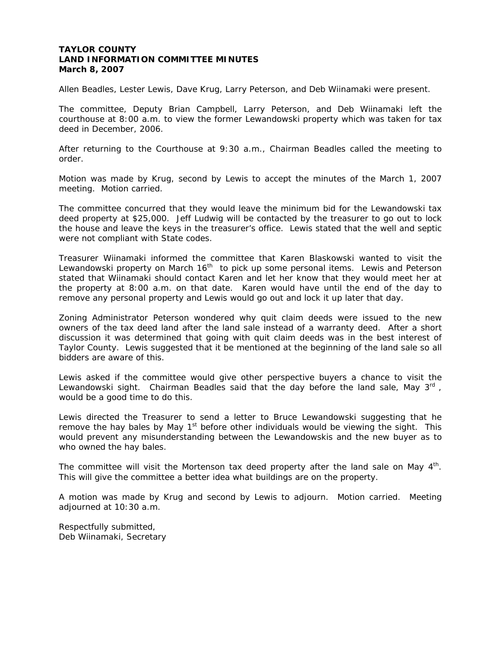### **TAYLOR COUNTY LAND INFORMATION COMMITTEE MINUTES March 8, 2007**

Allen Beadles, Lester Lewis, Dave Krug, Larry Peterson, and Deb Wiinamaki were present.

The committee, Deputy Brian Campbell, Larry Peterson, and Deb Wiinamaki left the courthouse at 8:00 a.m. to view the former Lewandowski property which was taken for tax deed in December, 2006.

After returning to the Courthouse at 9:30 a.m., Chairman Beadles called the meeting to order.

Motion was made by Krug, second by Lewis to accept the minutes of the March 1, 2007 meeting. Motion carried.

The committee concurred that they would leave the minimum bid for the Lewandowski tax deed property at \$25,000. Jeff Ludwig will be contacted by the treasurer to go out to lock the house and leave the keys in the treasurer's office. Lewis stated that the well and septic were not compliant with State codes.

Treasurer Wiinamaki informed the committee that Karen Blaskowski wanted to visit the Lewandowski property on March 16<sup>th</sup> to pick up some personal items. Lewis and Peterson stated that Wiinamaki should contact Karen and let her know that they would meet her at the property at 8:00 a.m. on that date. Karen would have until the end of the day to remove any personal property and Lewis would go out and lock it up later that day.

Zoning Administrator Peterson wondered why quit claim deeds were issued to the new owners of the tax deed land after the land sale instead of a warranty deed. After a short discussion it was determined that going with quit claim deeds was in the best interest of Taylor County. Lewis suggested that it be mentioned at the beginning of the land sale so all bidders are aware of this.

Lewis asked if the committee would give other perspective buyers a chance to visit the Lewandowski sight. Chairman Beadles said that the day before the land sale, May  $3^{rd}$ , would be a good time to do this.

Lewis directed the Treasurer to send a letter to Bruce Lewandowski suggesting that he remove the hay bales by May  $1<sup>st</sup>$  before other individuals would be viewing the sight. This would prevent any misunderstanding between the Lewandowskis and the new buyer as to who owned the hay bales.

The committee will visit the Mortenson tax deed property after the land sale on May  $4<sup>th</sup>$ . This will give the committee a better idea what buildings are on the property.

A motion was made by Krug and second by Lewis to adjourn. Motion carried. Meeting adjourned at 10:30 a.m.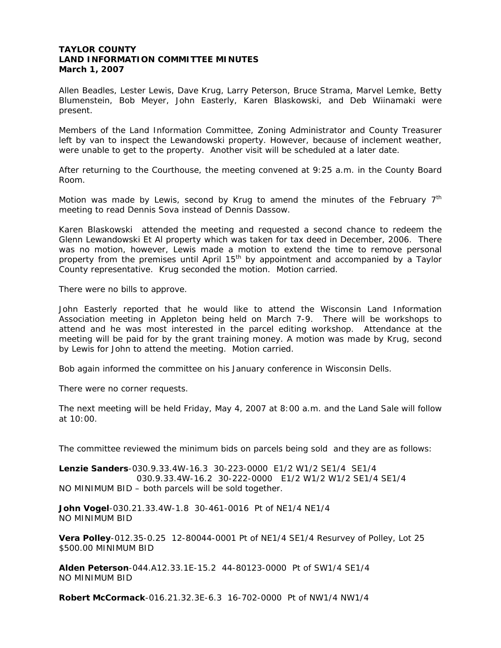## **TAYLOR COUNTY LAND INFORMATION COMMITTEE MINUTES March 1, 2007**

Allen Beadles, Lester Lewis, Dave Krug, Larry Peterson, Bruce Strama, Marvel Lemke, Betty Blumenstein, Bob Meyer, John Easterly, Karen Blaskowski, and Deb Wiinamaki were present.

Members of the Land Information Committee, Zoning Administrator and County Treasurer left by van to inspect the Lewandowski property. However, because of inclement weather, were unable to get to the property. Another visit will be scheduled at a later date.

After returning to the Courthouse, the meeting convened at 9:25 a.m. in the County Board Room.

Motion was made by Lewis, second by Krug to amend the minutes of the February  $7<sup>th</sup>$ meeting to read Dennis Sova instead of Dennis Dassow.

Karen Blaskowski attended the meeting and requested a second chance to redeem the Glenn Lewandowski Et Al property which was taken for tax deed in December, 2006. There was no motion, however, Lewis made a motion to extend the time to remove personal property from the premises until April  $15<sup>th</sup>$  by appointment and accompanied by a Taylor County representative. Krug seconded the motion. Motion carried.

There were no bills to approve.

John Easterly reported that he would like to attend the Wisconsin Land Information Association meeting in Appleton being held on March 7-9. There will be workshops to attend and he was most interested in the parcel editing workshop. Attendance at the meeting will be paid for by the grant training money. A motion was made by Krug, second by Lewis for John to attend the meeting. Motion carried.

Bob again informed the committee on his January conference in Wisconsin Dells.

There were no corner requests.

The next meeting will be held Friday, May 4, 2007 at 8:00 a.m. and the Land Sale will follow at 10:00.

The committee reviewed the minimum bids on parcels being sold and they are as follows:

**Lenzie Sanders**-030.9.33.4W-16.3 30-223-0000 E1/2 W1/2 SE1/4 SE1/4 030.9.33.4W-16.2 30-222-0000 E1/2 W1/2 W1/2 SE1/4 SE1/4 NO MINIMUM BID – both parcels will be sold together.

**John Vogel**-030.21.33.4W-1.8 30-461-0016 Pt of NE1/4 NE1/4 NO MINIMUM BID

**Vera Polley**-012.35-0.25 12-80044-0001 Pt of NE1/4 SE1/4 Resurvey of Polley, Lot 25 \$500.00 MINIMUM BID

**Alden Peterson**-044.A12.33.1E-15.2 44-80123-0000 Pt of SW1/4 SE1/4 NO MINIMUM BID

**Robert McCormack**-016.21.32.3E-6.3 16-702-0000 Pt of NW1/4 NW1/4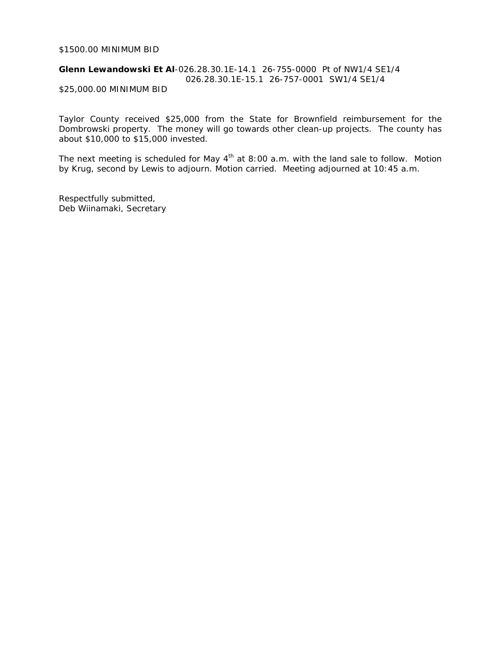### \$1500.00 MINIMUM BID

### **Glenn Lewandowski Et Al**-026.28.30.1E-14.1 26-755-0000 Pt of NW1/4 SE1/4 026.28.30.1E-15.1 26-757-0001 SW1/4 SE1/4 \$25,000.00 MINIMUM BID

Taylor County received \$25,000 from the State for Brownfield reimbursement for the Dombrowski property. The money will go towards other clean-up projects. The county has about \$10,000 to \$15,000 invested.

The next meeting is scheduled for May  $4^{th}$  at 8:00 a.m. with the land sale to follow. Motion by Krug, second by Lewis to adjourn. Motion carried. Meeting adjourned at 10:45 a.m.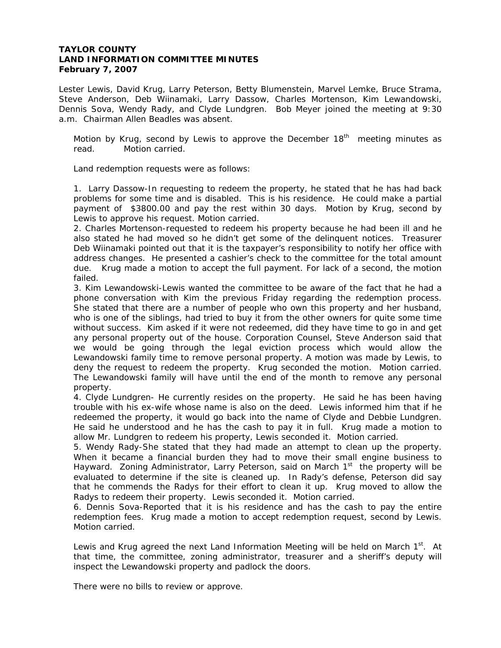# **TAYLOR COUNTY LAND INFORMATION COMMITTEE MINUTES February 7, 2007**

Lester Lewis, David Krug, Larry Peterson, Betty Blumenstein, Marvel Lemke, Bruce Strama, Steve Anderson, Deb Wiinamaki, Larry Dassow, Charles Mortenson, Kim Lewandowski, Dennis Sova, Wendy Rady, and Clyde Lundgren. Bob Meyer joined the meeting at 9:30 a.m. Chairman Allen Beadles was absent.

Motion by Krug, second by Lewis to approve the December  $18<sup>th</sup>$  meeting minutes as read. Motion carried.

Land redemption requests were as follows:

1. Larry Dassow-In requesting to redeem the property, he stated that he has had back problems for some time and is disabled. This is his residence. He could make a partial payment of \$3800.00 and pay the rest within 30 days. Motion by Krug, second by Lewis to approve his request. Motion carried.

2. Charles Mortenson-requested to redeem his property because he had been ill and he also stated he had moved so he didn't get some of the delinquent notices. Treasurer Deb Wiinamaki pointed out that it is the taxpayer's responsibility to notify her office with address changes. He presented a cashier's check to the committee for the total amount due. Krug made a motion to accept the full payment. For lack of a second, the motion failed.

3. Kim Lewandowski-Lewis wanted the committee to be aware of the fact that he had a phone conversation with Kim the previous Friday regarding the redemption process. She stated that there are a number of people who own this property and her husband, who is one of the siblings, had tried to buy it from the other owners for quite some time without success. Kim asked if it were not redeemed, did they have time to go in and get any personal property out of the house. Corporation Counsel, Steve Anderson said that we would be going through the legal eviction process which would allow the Lewandowski family time to remove personal property. A motion was made by Lewis, to deny the request to redeem the property. Krug seconded the motion. Motion carried. The Lewandowski family will have until the end of the month to remove any personal property.

4. Clyde Lundgren- He currently resides on the property. He said he has been having trouble with his ex-wife whose name is also on the deed. Lewis informed him that if he redeemed the property, it would go back into the name of Clyde and Debbie Lundgren. He said he understood and he has the cash to pay it in full. Krug made a motion to allow Mr. Lundgren to redeem his property, Lewis seconded it. Motion carried.

5. Wendy Rady-She stated that they had made an attempt to clean up the property. When it became a financial burden they had to move their small engine business to Hayward. Zoning Administrator, Larry Peterson, said on March  $1<sup>st</sup>$  the property will be evaluated to determine if the site is cleaned up. In Rady's defense, Peterson did say that he commends the Radys for their effort to clean it up. Krug moved to allow the Radys to redeem their property. Lewis seconded it. Motion carried.

6. Dennis Sova-Reported that it is his residence and has the cash to pay the entire redemption fees. Krug made a motion to accept redemption request, second by Lewis. Motion carried.

Lewis and Krug agreed the next Land Information Meeting will be held on March  $1<sup>st</sup>$ . At that time, the committee, zoning administrator, treasurer and a sheriff's deputy will inspect the Lewandowski property and padlock the doors.

There were no bills to review or approve.